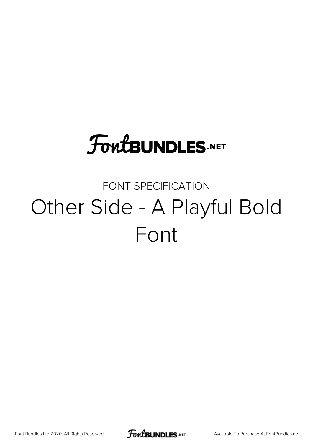## **FoutBUNDLES.NET**

#### FONT SPECIFICATION Other Side - A Playful Bold Font

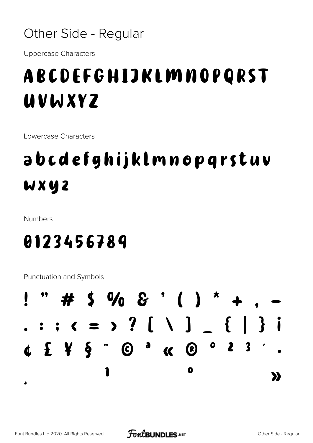#### Other Side - Regular

**Uppercase Characters** 

#### ABCDEFGHIJKLMNOPQRST UVWXYZ

Lowercase Characters

### abcdefghijklmnopqrstuv WXYZ

**Numbers** 

#### 0123456789

**Punctuation and Symbols** 

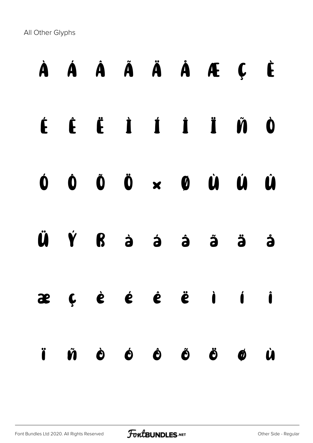All Other Glyphs

# À Á Â Ã Ä Å Æ Ç È É Ê Ë Ì Í Î Ï Ñ Ò Ó Ô Õ Ö × Ø Ù Ú Û Ü Ý ß à á â ã ä å æ ç è é ê ë ì í î ï ñ ò ó ô õ ö ø ù